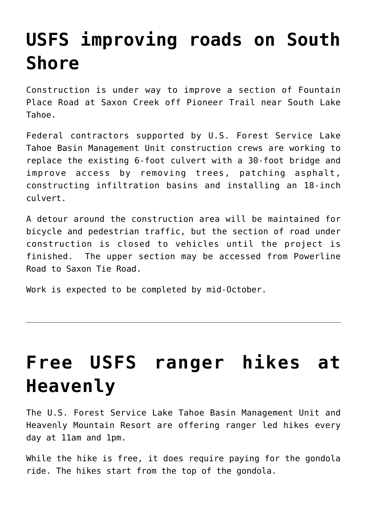# **[USFS improving roads on South](https://www.laketahoenews.net/2018/07/usfs-improving-roads-on-south-shore/) [Shore](https://www.laketahoenews.net/2018/07/usfs-improving-roads-on-south-shore/)**

Construction is under way to improve a section of Fountain Place Road at Saxon Creek off Pioneer Trail near South Lake Tahoe.

Federal contractors supported by U.S. Forest Service Lake Tahoe Basin Management Unit construction crews are working to replace the existing 6-foot culvert with a 30-foot bridge and improve access by removing trees, patching asphalt, constructing infiltration basins and installing an 18-inch culvert.

A detour around the construction area will be maintained for bicycle and pedestrian traffic, but the section of road under construction is closed to vehicles until the project is finished. The upper section may be accessed from Powerline Road to Saxon Tie Road.

Work is expected to be completed by mid-October.

# **[Free USFS ranger hikes at](https://www.laketahoenews.net/2018/07/free-usfs-ranger-hikes-at-heavenly/) [Heavenly](https://www.laketahoenews.net/2018/07/free-usfs-ranger-hikes-at-heavenly/)**

The U.S. Forest Service Lake Tahoe Basin Management Unit and Heavenly Mountain Resort are offering ranger led hikes every day at 11am and 1pm.

While the hike is free, it does require paying for the gondola ride. The hikes start from the top of the gondola.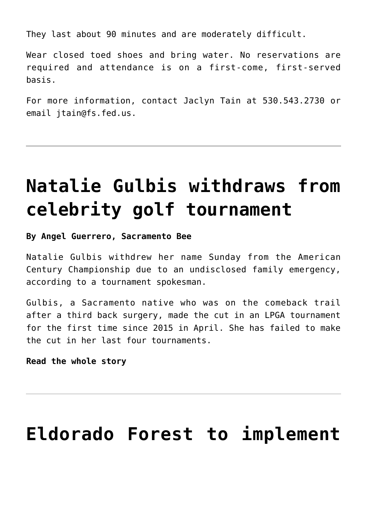They last about 90 minutes and are moderately difficult.

Wear closed toed shoes and bring water. No reservations are required and attendance is on a first-come, first-served basis.

For more information, contact Jaclyn Tain at 530.543.2730 or email jtain@fs.fed.us.

### **[Natalie Gulbis withdraws from](https://www.laketahoenews.net/2018/07/natalie-gulbis-withdraws-from-celebrity-golf-tournament/) [celebrity golf tournament](https://www.laketahoenews.net/2018/07/natalie-gulbis-withdraws-from-celebrity-golf-tournament/)**

**By Angel Guerrero, Sacramento Bee**

Natalie Gulbis withdrew her name Sunday from the American Century Championship due to an undisclosed family emergency, according to a tournament spokesman.

Gulbis, a Sacramento native who was on the comeback trail after a third back surgery, made the cut in an LPGA tournament for the first time since 2015 in April. She has failed to make the cut in her last four tournaments.

**[Read the whole story](https://www.sacbee.com/sports/golf/article214667990.html)**

### **[Eldorado Forest to implement](https://www.laketahoenews.net/2018/07/eldorado-forest-to-implement-fire-restrictions/)**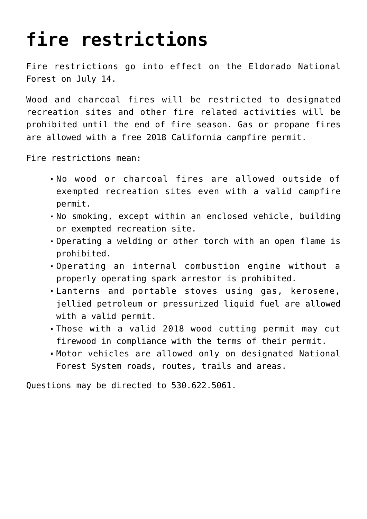# **[fire restrictions](https://www.laketahoenews.net/2018/07/eldorado-forest-to-implement-fire-restrictions/)**

Fire restrictions go into effect on the Eldorado National Forest on July 14.

Wood and charcoal fires will be restricted to designated recreation sites and other fire related activities will be prohibited until the end of fire season. Gas or propane fires are allowed with a free 2018 California campfire permit.

Fire restrictions mean:

- No wood or charcoal fires are allowed outside of exempted recreation sites even with a valid campfire permit.
- No smoking, except within an enclosed vehicle, building or exempted recreation site.
- Operating a welding or other torch with an open flame is prohibited.
- Operating an internal combustion engine without a properly operating spark arrestor is prohibited.
- Lanterns and portable stoves using gas, kerosene, jellied petroleum or pressurized liquid fuel are allowed with a valid permit.
- Those with a valid 2018 wood cutting permit may cut firewood in compliance with the terms of their permit.
- Motor vehicles are allowed only on designated National Forest System roads, routes, trails and areas.

Questions may be directed to 530.622.5061.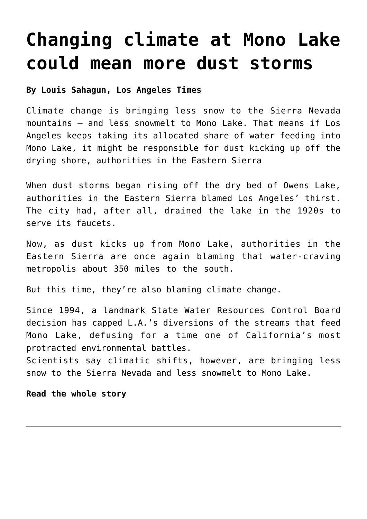### **[Changing climate at Mono Lake](https://www.laketahoenews.net/2018/07/changing-climate-at-mono-lake-could-mean-more-dust-storms/) [could mean more dust storms](https://www.laketahoenews.net/2018/07/changing-climate-at-mono-lake-could-mean-more-dust-storms/)**

#### **By Louis Sahagun, Los Angeles Times**

Climate change is bringing less snow to the Sierra Nevada mountains — and less snowmelt to Mono Lake. That means if Los Angeles keeps taking its allocated share of water feeding into Mono Lake, it might be responsible for dust kicking up off the drying shore, authorities in the Eastern Sierra

When dust storms began rising off the dry bed of Owens Lake, authorities in the Eastern Sierra blamed Los Angeles' thirst. The city had, after all, drained the lake in the 1920s to serve its faucets.

Now, as dust kicks up from Mono Lake, authorities in the Eastern Sierra are once again blaming that water-craving metropolis about 350 miles to the south.

But this time, they're also blaming climate change.

Since 1994, a landmark State Water Resources Control Board decision has capped L.A.'s diversions of the streams that feed Mono Lake, defusing for a time one of California's most protracted environmental battles.

Scientists say climatic shifts, however, are bringing less snow to the Sierra Nevada and less snowmelt to Mono Lake.

#### **[Read the whole story](http://www.latimes.com/local/california/la-me-mono-lake-dust20180705-htmlstory.html#)**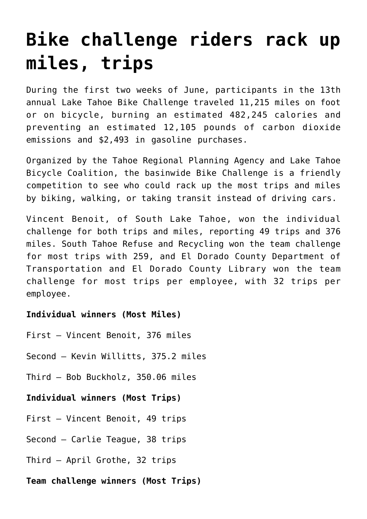# **[Bike challenge riders rack up](https://www.laketahoenews.net/2018/07/bike-challenge-riders-rack-up-miles-trips/) [miles, trips](https://www.laketahoenews.net/2018/07/bike-challenge-riders-rack-up-miles-trips/)**

During the first two weeks of June, participants in the 13th annual Lake Tahoe Bike Challenge traveled 11,215 miles on foot or on bicycle, burning an estimated 482,245 calories and preventing an estimated 12,105 pounds of carbon dioxide emissions and \$2,493 in gasoline purchases.

Organized by the Tahoe Regional Planning Agency and Lake Tahoe Bicycle Coalition, the basinwide Bike Challenge is a friendly competition to see who could rack up the most trips and miles by biking, walking, or taking transit instead of driving cars.

Vincent Benoit, of South Lake Tahoe, won the individual challenge for both trips and miles, reporting 49 trips and 376 miles. South Tahoe Refuse and Recycling won the team challenge for most trips with 259, and El Dorado County Department of Transportation and El Dorado County Library won the team challenge for most trips per employee, with 32 trips per employee.

### **Individual winners (Most Miles)**

- First Vincent Benoit, 376 miles
- Second Kevin Willitts, 375.2 miles
- Third Bob Buckholz, 350.06 miles

### **Individual winners (Most Trips)**

- First Vincent Benoit, 49 trips
- Second Carlie Teague, 38 trips
- Third April Grothe, 32 trips
- **Team challenge winners (Most Trips)**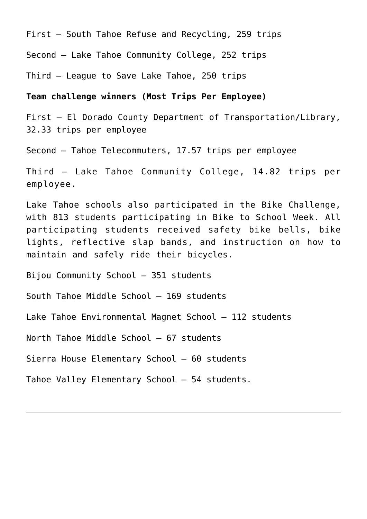First – South Tahoe Refuse and Recycling, 259 trips

Second – Lake Tahoe Community College, 252 trips

Third – League to Save Lake Tahoe, 250 trips

#### **Team challenge winners (Most Trips Per Employee)**

First – El Dorado County Department of Transportation/Library, 32.33 trips per employee

Second – Tahoe Telecommuters, 17.57 trips per employee

Third – Lake Tahoe Community College, 14.82 trips per employee.

Lake Tahoe schools also participated in the Bike Challenge, with 813 students participating in Bike to School Week. All participating students received safety bike bells, bike lights, reflective slap bands, and instruction on how to maintain and safely ride their bicycles.

Bijou Community School – 351 students

South Tahoe Middle School – 169 students

Lake Tahoe Environmental Magnet School – 112 students

North Tahoe Middle School – 67 students

Sierra House Elementary School – 60 students

Tahoe Valley Elementary School – 54 students.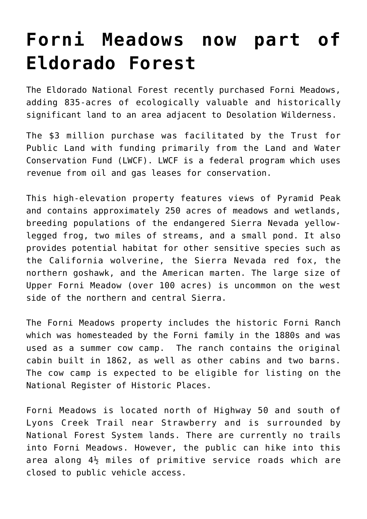### **[Forni Meadows now part of](https://www.laketahoenews.net/2018/07/forni-meadows-now-part-of-eldorado-forest/) [Eldorado Forest](https://www.laketahoenews.net/2018/07/forni-meadows-now-part-of-eldorado-forest/)**

The Eldorado National Forest recently purchased Forni Meadows, adding 835-acres of ecologically valuable and historically significant land to an area adjacent to Desolation Wilderness.

The \$3 million purchase was facilitated by the Trust for Public Land with funding primarily from the Land and Water Conservation Fund (LWCF). LWCF is a federal program which uses revenue from oil and gas leases for conservation.

This high-elevation property features views of Pyramid Peak and contains approximately 250 acres of meadows and wetlands, breeding populations of the endangered Sierra Nevada yellowlegged frog, two miles of streams, and a small pond. It also provides potential habitat for other sensitive species such as the California wolverine, the Sierra Nevada red fox, the northern goshawk, and the American marten. The large size of Upper Forni Meadow (over 100 acres) is uncommon on the west side of the northern and central Sierra.

The Forni Meadows property includes the historic Forni Ranch which was homesteaded by the Forni family in the 1880s and was used as a summer cow camp. The ranch contains the original cabin built in 1862, as well as other cabins and two barns. The cow camp is expected to be eligible for listing on the National Register of Historic Places.

Forni Meadows is located north of Highway 50 and south of Lyons Creek Trail near Strawberry and is surrounded by National Forest System lands. There are currently no trails into Forni Meadows. However, the public can hike into this area along 4½ miles of primitive service roads which are closed to public vehicle access.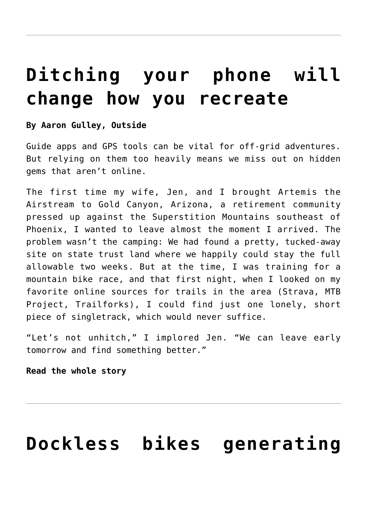### **[Ditching your phone will](https://www.laketahoenews.net/2018/07/ditching-your-phone-will-change-how-you-recreate/) [change how you recreate](https://www.laketahoenews.net/2018/07/ditching-your-phone-will-change-how-you-recreate/)**

### **By Aaron Gulley, Outside**

Guide apps and GPS tools can be vital for off-grid adventures. But relying on them too heavily means we miss out on hidden gems that aren't online.

The first time my wife, Jen, and I brought Artemis the Airstream to Gold Canyon, Arizona, a retirement community pressed up against the Superstition Mountains southeast of Phoenix, I wanted to leave almost the moment I arrived. The problem wasn't the camping: We had found a pretty, tucked-away site on state trust land where we happily could stay the full allowable two weeks. But at the time, I was training for a mountain bike race, and that first night, when I looked on my favorite online sources for trails in the area (Strava, MTB Project, Trailforks), I could find just one lonely, short piece of singletrack, which would never suffice.

"Let's not unhitch," I implored Jen. "We can leave early tomorrow and find something better."

### **[Read the whole story](https://www.outsideonline.com/2321651/gps-and-guide-apps-are-changing-how-we-recreate?utm_content=buffer664b8&utm_medium=social&utm_source=twitter&utm_campaign=tweet)**

# **[Dockless bikes generating](https://www.laketahoenews.net/2018/07/dockless-bikes-generating-loads-of-newfound-data/)**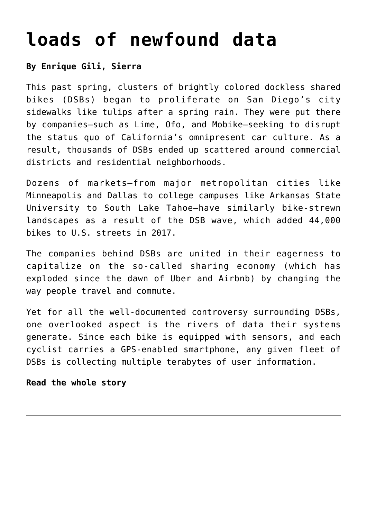### **[loads of newfound data](https://www.laketahoenews.net/2018/07/dockless-bikes-generating-loads-of-newfound-data/)**

### **By Enrique Gili, Sierra**

This past spring, clusters of brightly colored dockless shared bikes (DSBs) began to proliferate on San Diego's city sidewalks like tulips after a spring rain. They were put there by companies—such as Lime, Ofo, and Mobike—seeking to disrupt the status quo of California's omnipresent car culture. As a result, thousands of DSBs ended up scattered around commercial districts and residential neighborhoods.

Dozens of markets—from major metropolitan cities like Minneapolis and Dallas to college campuses like Arkansas State University to South Lake Tahoe—have similarly bike-strewn landscapes as a result of the DSB wave, which added 44,000 bikes to U.S. streets in 2017.

The companies behind DSBs are united in their eagerness to capitalize on the so-called sharing economy (which has exploded since the dawn of Uber and Airbnb) by changing the way people travel and commute.

Yet for all the well-documented controversy surrounding DSBs, one overlooked aspect is the rivers of data their systems generate. Since each bike is equipped with sensors, and each cyclist carries a GPS-enabled smartphone, any given fleet of DSBs is collecting multiple terabytes of user information.

#### **[Read the whole story](https://www.sierraclub.org/sierra/what-can-dockless-bikes-and-dockless-scooters-tell-us-about-cities?utm_source=twitter&utm_campaign=sierramag&utm_medium=sierra_social)**